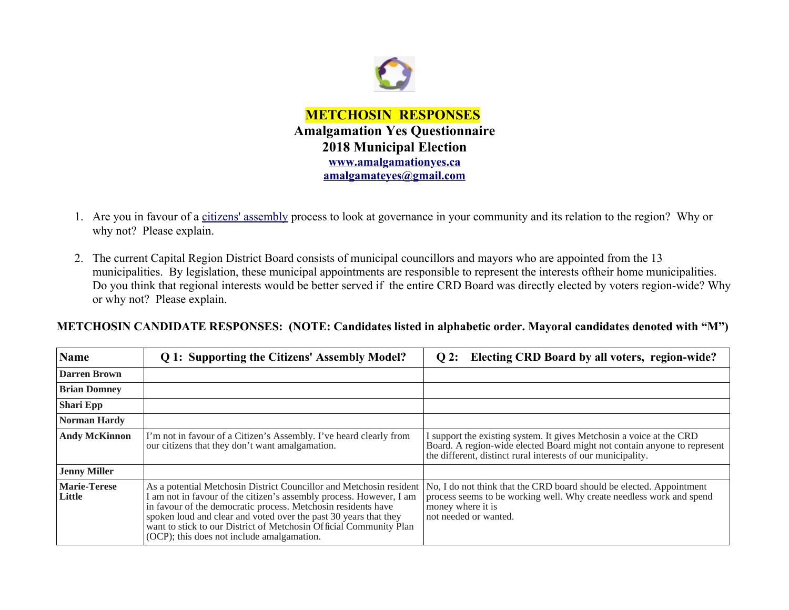

- 1. Are you in favour of a [citizens' assembly](https://en.wikipedia.org/wiki/Citizens) process to look at governance in your community and its relation to the region? Why or why not? Please explain.
- 2. The current Capital Region District Board consists of municipal councillors and mayors who are appointed from the 13 municipalities. By legislation, these municipal appointments are responsible to represent the interests oftheir home municipalities. Do you think that regional interests would be better served if the entire CRD Board was directly elected by voters region-wide? Why or why not? Please explain.

**METCHOSIN CANDIDATE RESPONSES: (NOTE: Candidates listed in alphabetic order. Mayoral candidates denoted with "M")**

| <b>Name</b>                   | Q 1: Supporting the Citizens' Assembly Model?                                                                                                                                                                                                                                                                                                                                                       | Q 2: Electing CRD Board by all voters, region-wide?                                                                                                                                                              |
|-------------------------------|-----------------------------------------------------------------------------------------------------------------------------------------------------------------------------------------------------------------------------------------------------------------------------------------------------------------------------------------------------------------------------------------------------|------------------------------------------------------------------------------------------------------------------------------------------------------------------------------------------------------------------|
| <b>Darren Brown</b>           |                                                                                                                                                                                                                                                                                                                                                                                                     |                                                                                                                                                                                                                  |
| <b>Brian Domney</b>           |                                                                                                                                                                                                                                                                                                                                                                                                     |                                                                                                                                                                                                                  |
| <b>Shari Epp</b>              |                                                                                                                                                                                                                                                                                                                                                                                                     |                                                                                                                                                                                                                  |
| <b>Norman Hardy</b>           |                                                                                                                                                                                                                                                                                                                                                                                                     |                                                                                                                                                                                                                  |
| <b>Andy McKinnon</b>          | I'm not in favour of a Citizen's Assembly. I've heard clearly from<br>our citizens that they don't want amalgamation.                                                                                                                                                                                                                                                                               | I support the existing system. It gives Metchosin a voice at the CRD<br>Board. A region-wide elected Board might not contain anyone to represent<br>the different, distinct rural interests of our municipality. |
| <b>Jenny Miller</b>           |                                                                                                                                                                                                                                                                                                                                                                                                     |                                                                                                                                                                                                                  |
| <b>Marie-Terese</b><br>Little | As a potential Metchosin District Councillor and Metchosin resident<br>I am not in favour of the citizen's assembly process. However, I am<br>in favour of the democratic process. Metchosin residents have<br>spoken loud and clear and voted over the past 30 years that they<br>want to stick to our District of Metchosin Official Community Plan<br>(OCP); this does not include amalgamation. | No, I do not think that the CRD board should be elected. Appointment<br>process seems to be working well. Why create needless work and spend<br>money where it is<br>not needed or wanted.                       |